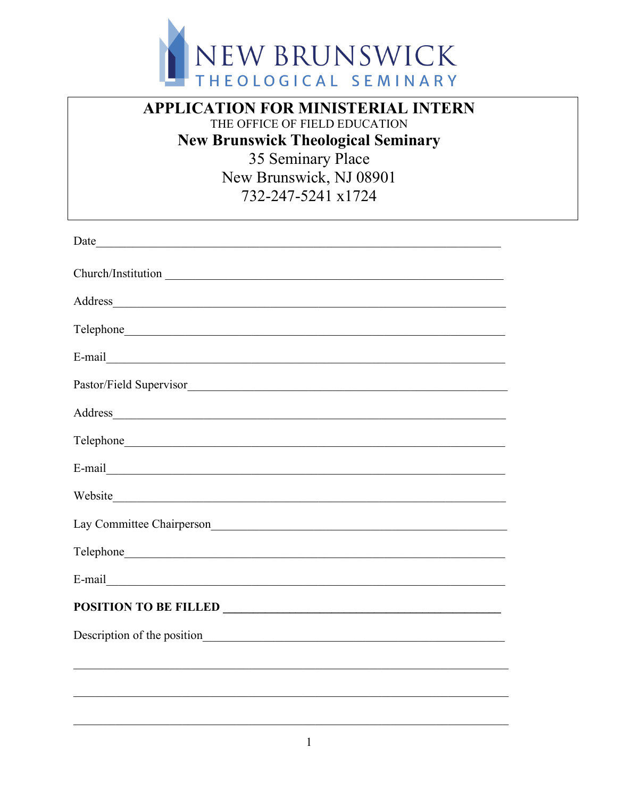

## **APPLICATION FOR MINISTERIAL INTERN** THE OFFICE OF FIELD EDUCATION **New Brunswick Theological Seminary** 35 Seminary Place New Brunswick, NJ 08901 732-247-5241 x1724

| Address                                                                                                                                                                                                                        |
|--------------------------------------------------------------------------------------------------------------------------------------------------------------------------------------------------------------------------------|
|                                                                                                                                                                                                                                |
|                                                                                                                                                                                                                                |
|                                                                                                                                                                                                                                |
| Address and the contract of the contract of the contract of the contract of the contract of the contract of the contract of the contract of the contract of the contract of the contract of the contract of the contract of th |
|                                                                                                                                                                                                                                |
|                                                                                                                                                                                                                                |
| Website                                                                                                                                                                                                                        |
| Lay Committee Chairperson                                                                                                                                                                                                      |
|                                                                                                                                                                                                                                |
|                                                                                                                                                                                                                                |
|                                                                                                                                                                                                                                |
|                                                                                                                                                                                                                                |
|                                                                                                                                                                                                                                |
|                                                                                                                                                                                                                                |
|                                                                                                                                                                                                                                |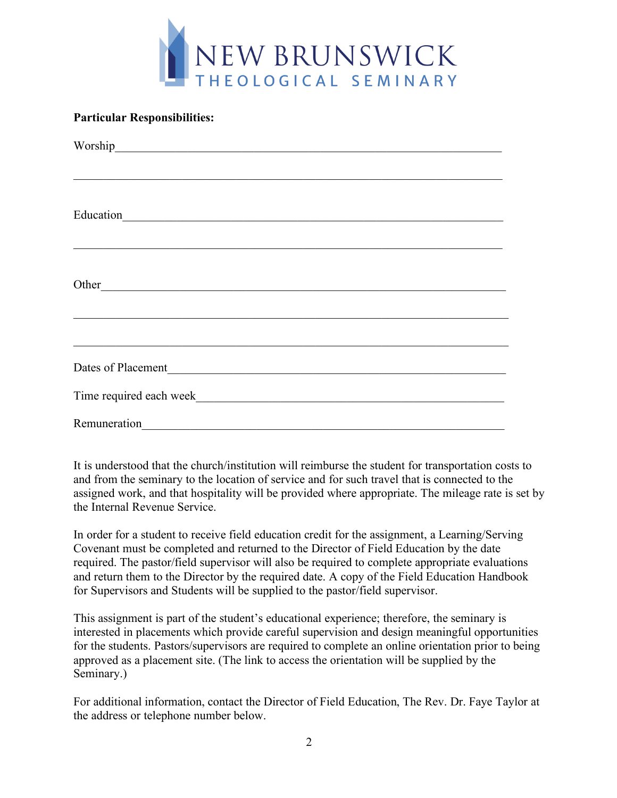

## **Particular Responsibilities:**

| Education<br><u> 1980 - Johann Stein, marwolaethau a bhann an t-Amhain an t-Amhain an t-Amhain an t-Amhain an t-Amhain an t-A</u>                                                                                             |
|-------------------------------------------------------------------------------------------------------------------------------------------------------------------------------------------------------------------------------|
|                                                                                                                                                                                                                               |
|                                                                                                                                                                                                                               |
| Other and the contract of the contract of the contract of the contract of the contract of the contract of the contract of the contract of the contract of the contract of the contract of the contract of the contract of the |
|                                                                                                                                                                                                                               |
|                                                                                                                                                                                                                               |
|                                                                                                                                                                                                                               |
| Time required each week                                                                                                                                                                                                       |
| Remuneration                                                                                                                                                                                                                  |

It is understood that the church/institution will reimburse the student for transportation costs to and from the seminary to the location of service and for such travel that is connected to the assigned work, and that hospitality will be provided where appropriate. The mileage rate is set by the Internal Revenue Service.

In order for a student to receive field education credit for the assignment, a Learning/Serving Covenant must be completed and returned to the Director of Field Education by the date required. The pastor/field supervisor will also be required to complete appropriate evaluations and return them to the Director by the required date. A copy of the Field Education Handbook for Supervisors and Students will be supplied to the pastor/field supervisor.

This assignment is part of the student's educational experience; therefore, the seminary is interested in placements which provide careful supervision and design meaningful opportunities for the students. Pastors/supervisors are required to complete an online orientation prior to being approved as a placement site. (The link to access the orientation will be supplied by the Seminary.)

For additional information, contact the Director of Field Education, The Rev. Dr. Faye Taylor at the address or telephone number below.